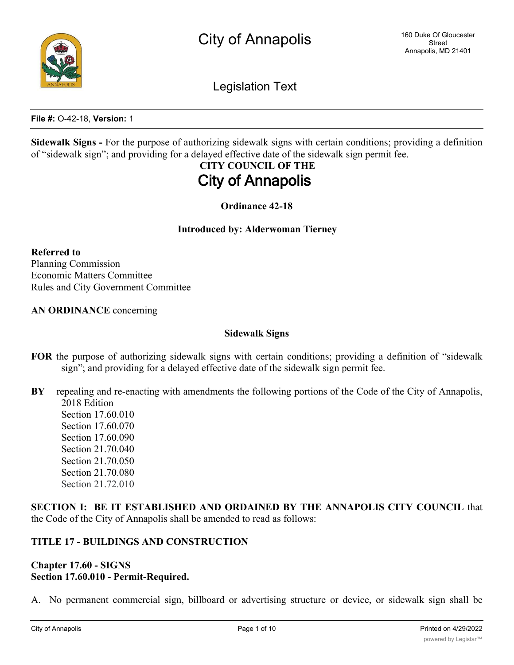Legislation Text

**File #:** O-42-18, **Version:** 1

**Sidewalk Signs -** For the purpose of authorizing sidewalk signs with certain conditions; providing a definition of "sidewalk sign"; and providing for a delayed effective date of the sidewalk sign permit fee.

# **CITY COUNCIL OF THE City of Annapolis**

**Ordinance 42-18**

#### **Introduced by: Alderwoman Tierney**

**Referred to** Planning Commission Economic Matters Committee Rules and City Government Committee

**AN ORDINANCE** concerning

#### **Sidewalk Signs**

- **FOR** the purpose of authorizing sidewalk signs with certain conditions; providing a definition of "sidewalk sign"; and providing for a delayed effective date of the sidewalk sign permit fee.
- **BY** repealing and re-enacting with amendments the following portions of the Code of the City of Annapolis, 2018 Edition
	- Section 17.60.010 Section 17.60.070 Section 17.60.090 Section 21.70.040 Section 21.70.050 Section 21.70.080 Section 21.72.010

**SECTION I: BE IT ESTABLISHED AND ORDAINED BY THE ANNAPOLIS CITY COUNCIL** that the Code of the City of Annapolis shall be amended to read as follows:

## **TITLE 17 - BUILDINGS AND CONSTRUCTION**

### **Chapter 17.60 - SIGNS Section 17.60.010 - Permit-Required.**

No permanent commercial sign, billboard or advertising structure or device, or sidewalk sign shall be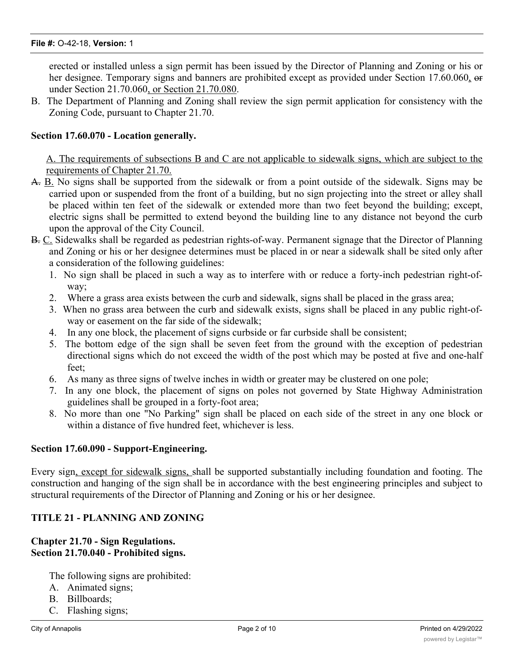erected or installed unless a sign permit has been issued by the Director of Planning and Zoning or his or her designee. Temporary signs and banners are prohibited except as provided under Section 17.60.060, or under Section 21.70.060, or Section 21.70.080.

B. The Department of Planning and Zoning shall review the sign permit application for consistency with the Zoning Code, pursuant to Chapter 21.70.

## **Section 17.60.070 - Location generally.**

A. The requirements of subsections B and C are not applicable to sidewalk signs, which are subject to the requirements of Chapter 21.70.

- A. B. No signs shall be supported from the sidewalk or from a point outside of the sidewalk. Signs may be carried upon or suspended from the front of a building, but no sign projecting into the street or alley shall be placed within ten feet of the sidewalk or extended more than two feet beyond the building; except, electric signs shall be permitted to extend beyond the building line to any distance not beyond the curb upon the approval of the City Council.
- B. C. Sidewalks shall be regarded as pedestrian rights-of-way. Permanent signage that the Director of Planning and Zoning or his or her designee determines must be placed in or near a sidewalk shall be sited only after a consideration of the following guidelines:
	- 1. No sign shall be placed in such a way as to interfere with or reduce a forty-inch pedestrian right-ofway;
	- 2. Where a grass area exists between the curb and sidewalk, signs shall be placed in the grass area;
	- 3. When no grass area between the curb and sidewalk exists, signs shall be placed in any public right-ofway or easement on the far side of the sidewalk;
	- 4. In any one block, the placement of signs curbside or far curbside shall be consistent;
	- 5. The bottom edge of the sign shall be seven feet from the ground with the exception of pedestrian directional signs which do not exceed the width of the post which may be posted at five and one-half feet;
	- 6. As many as three signs of twelve inches in width or greater may be clustered on one pole;
	- 7. In any one block, the placement of signs on poles not governed by State Highway Administration guidelines shall be grouped in a forty-foot area;
	- 8. No more than one "No Parking" sign shall be placed on each side of the street in any one block or within a distance of five hundred feet, whichever is less.

### **Section 17.60.090 - Support-Engineering.**

Every sign, except for sidewalk signs, shall be supported substantially including foundation and footing. The construction and hanging of the sign shall be in accordance with the best engineering principles and subject to structural requirements of the Director of Planning and Zoning or his or her designee.

### **TITLE 21 - PLANNING AND ZONING**

#### **Chapter 21.70 - Sign Regulations. Section 21.70.040 - Prohibited signs.**

The following signs are prohibited:

- A. Animated signs;
- B. Billboards;
- C. Flashing signs;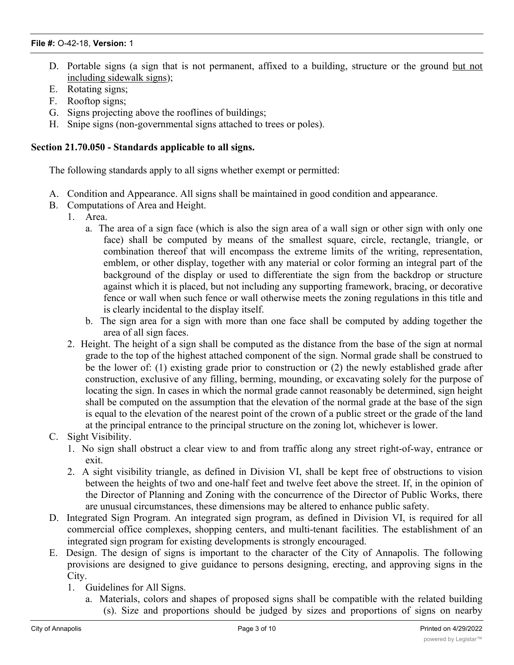- D. Portable signs (a sign that is not permanent, affixed to a building, structure or the ground but not including sidewalk signs);
- E. Rotating signs;
- F. Rooftop signs;
- G. Signs projecting above the rooflines of buildings;
- H. Snipe signs (non-governmental signs attached to trees or poles).

### **Section 21.70.050 - Standards applicable to all signs.**

The following standards apply to all signs whether exempt or permitted:

- A. Condition and Appearance. All signs shall be maintained in good condition and appearance.
- B. Computations of Area and Height.
	- 1. Area.
		- a. The area of a sign face (which is also the sign area of a wall sign or other sign with only one face) shall be computed by means of the smallest square, circle, rectangle, triangle, or combination thereof that will encompass the extreme limits of the writing, representation, emblem, or other display, together with any material or color forming an integral part of the background of the display or used to differentiate the sign from the backdrop or structure against which it is placed, but not including any supporting framework, bracing, or decorative fence or wall when such fence or wall otherwise meets the zoning regulations in this title and is clearly incidental to the display itself.
		- b. The sign area for a sign with more than one face shall be computed by adding together the area of all sign faces.
		- 2. Height. The height of a sign shall be computed as the distance from the base of the sign at normal grade to the top of the highest attached component of the sign. Normal grade shall be construed to be the lower of: (1) existing grade prior to construction or (2) the newly established grade after construction, exclusive of any filling, berming, mounding, or excavating solely for the purpose of locating the sign. In cases in which the normal grade cannot reasonably be determined, sign height shall be computed on the assumption that the elevation of the normal grade at the base of the sign is equal to the elevation of the nearest point of the crown of a public street or the grade of the land at the principal entrance to the principal structure on the zoning lot, whichever is lower.
- C. Sight Visibility.
	- 1. No sign shall obstruct a clear view to and from traffic along any street right-of-way, entrance or exit.
	- 2. A sight visibility triangle, as defined in Division VI, shall be kept free of obstructions to vision between the heights of two and one-half feet and twelve feet above the street. If, in the opinion of the Director of Planning and Zoning with the concurrence of the Director of Public Works, there are unusual circumstances, these dimensions may be altered to enhance public safety.
- D. Integrated Sign Program. An integrated sign program, as defined in Division VI, is required for all commercial office complexes, shopping centers, and multi-tenant facilities. The establishment of an integrated sign program for existing developments is strongly encouraged.
- E. Design. The design of signs is important to the character of the City of Annapolis. The following provisions are designed to give guidance to persons designing, erecting, and approving signs in the City.
	- 1. Guidelines for All Signs.
		- a. Materials, colors and shapes of proposed signs shall be compatible with the related building (s). Size and proportions should be judged by sizes and proportions of signs on nearby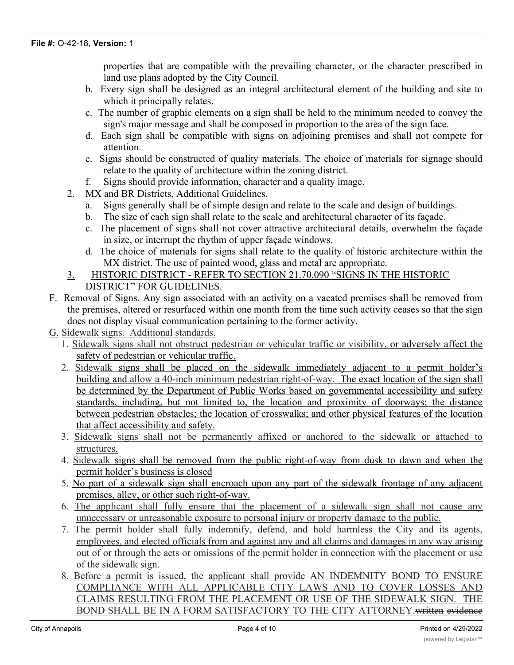properties that are compatible with the prevailing character, or the character prescribed in land use plans adopted by the City Council.

- b. Every sign shall be designed as an integral architectural element of the building and site to which it principally relates.
- c. The number of graphic elements on a sign shall be held to the minimum needed to convey the sign's major message and shall be composed in proportion to the area of the sign face.
- d. Each sign shall be compatible with signs on adjoining premises and shall not compete for attention.
- e. Signs should be constructed of quality materials. The choice of materials for signage should relate to the quality of architecture within the zoning district.
- f. Signs should provide information, character and a quality image.
- 2. MX and BR Districts, Additional Guidelines.
	- a. Signs generally shall be of simple design and relate to the scale and design of buildings.
	- b. The size of each sign shall relate to the scale and architectural character of its façade.
	- c. The placement of signs shall not cover attractive architectural details, overwhelm the façade in size, or interrupt the rhythm of upper façade windows.
	- d. The choice of materials for signs shall relate to the quality of historic architecture within the MX district. The use of painted wood, glass and metal are appropriate.

# 3. HISTORIC DISTRICT - REFER TO SECTION 21.70.090 "SIGNS IN THE HISTORIC DISTRICT" FOR GUIDELINES.

- F. Removal of Signs. Any sign associated with an activity on a vacated premises shall be removed from the premises, altered or resurfaced within one month from the time such activity ceases so that the sign does not display visual communication pertaining to the former activity.
- G. Sidewalk signs. Additional standards.
	- 1. Sidewalk signs shall not obstruct pedestrian or vehicular traffic or visibility, or adversely affect the safety of pedestrian or vehicular traffic.
	- 2. Sidewalk signs shall be placed on the sidewalk immediately adjacent to a permit holder's building and allow a 40-inch minimum pedestrian right-of-way. The exact location of the sign shall be determined by the Department of Public Works based on governmental accessibility and safety standards, including, but not limited to, the location and proximity of doorways; the distance between pedestrian obstacles; the location of crosswalks; and other physical features of the location that affect accessibility and safety.
	- 3. Sidewalk signs shall not be permanently affixed or anchored to the sidewalk or attached to structures.
	- 4. Sidewalk signs shall be removed from the public right-of-way from dusk to dawn and when the permit holder's business is closed
	- 5. No part of a sidewalk sign shall encroach upon any part of the sidewalk frontage of any adjacent premises, alley, or other such right-of-way.
	- 6. The applicant shall fully ensure that the placement of a sidewalk sign shall not cause any unnecessary or unreasonable exposure to personal injury or property damage to the public.
	- 7. The permit holder shall fully indemnify, defend, and hold harmless the City and its agents, employees, and elected officials from and against any and all claims and damages in any way arising out of or through the acts or omissions of the permit holder in connection with the placement or use of the sidewalk sign.
	- 8. Before a permit is issued, the applicant shall provide AN INDEMNITY BOND TO ENSURE COMPLIANCE WITH ALL APPLICABLE CITY LAWS AND TO COVER LOSSES AND CLAIMS RESULTING FROM THE PLACEMENT OR USE OF THE SIDEWALK SIGN. THE BOND SHALL BE IN A FORM SATISFACTORY TO THE CITY ATTORNEY.written evidence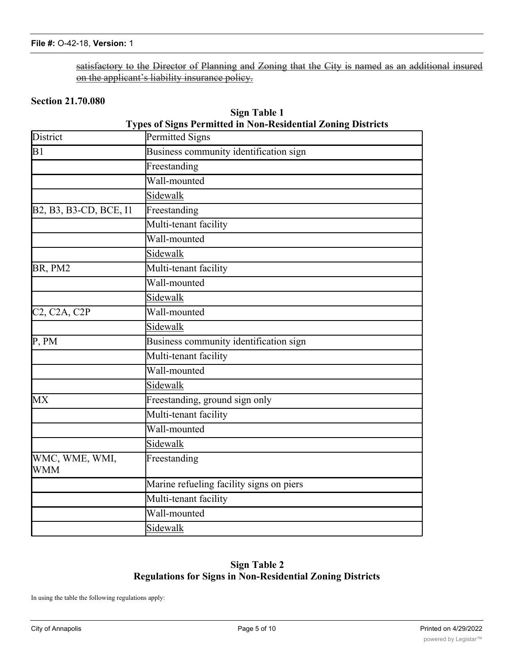satisfactory to the Director of Planning and Zoning that the City is named as an additional insured on the applicant's liability insurance policy.

# **Section 21.70.080**

| Sign Table 1                                                        |
|---------------------------------------------------------------------|
| <b>Types of Signs Permitted in Non-Residential Zoning Districts</b> |

| District                                            | Permitted Signs                          |  |  |  |  |  |  |
|-----------------------------------------------------|------------------------------------------|--|--|--|--|--|--|
| B1                                                  | Business community identification sign   |  |  |  |  |  |  |
|                                                     | Freestanding                             |  |  |  |  |  |  |
|                                                     | Wall-mounted                             |  |  |  |  |  |  |
|                                                     | Sidewalk                                 |  |  |  |  |  |  |
| B2, B3, B3-CD, BCE, I1                              | Freestanding                             |  |  |  |  |  |  |
|                                                     | Multi-tenant facility                    |  |  |  |  |  |  |
|                                                     | Wall-mounted                             |  |  |  |  |  |  |
|                                                     | Sidewalk                                 |  |  |  |  |  |  |
| BR, PM2                                             | Multi-tenant facility                    |  |  |  |  |  |  |
|                                                     | Wall-mounted                             |  |  |  |  |  |  |
|                                                     | Sidewalk                                 |  |  |  |  |  |  |
| C <sub>2</sub> , C <sub>2</sub> A, C <sub>2</sub> P | Wall-mounted                             |  |  |  |  |  |  |
|                                                     | Sidewalk                                 |  |  |  |  |  |  |
| P, PM                                               | Business community identification sign   |  |  |  |  |  |  |
|                                                     | Multi-tenant facility                    |  |  |  |  |  |  |
|                                                     | Wall-mounted                             |  |  |  |  |  |  |
|                                                     | Sidewalk                                 |  |  |  |  |  |  |
| MX                                                  | Freestanding, ground sign only           |  |  |  |  |  |  |
|                                                     | Multi-tenant facility                    |  |  |  |  |  |  |
|                                                     | Wall-mounted                             |  |  |  |  |  |  |
|                                                     | Sidewalk                                 |  |  |  |  |  |  |
| WMC, WME, WMI,<br><b>WMM</b>                        | Freestanding                             |  |  |  |  |  |  |
|                                                     | Marine refueling facility signs on piers |  |  |  |  |  |  |
|                                                     | Multi-tenant facility                    |  |  |  |  |  |  |
|                                                     | Wall-mounted                             |  |  |  |  |  |  |
|                                                     | Sidewalk                                 |  |  |  |  |  |  |

# **Sign Table 2 Regulations for Signs in Non-Residential Zoning Districts**

In using the table the following regulations apply: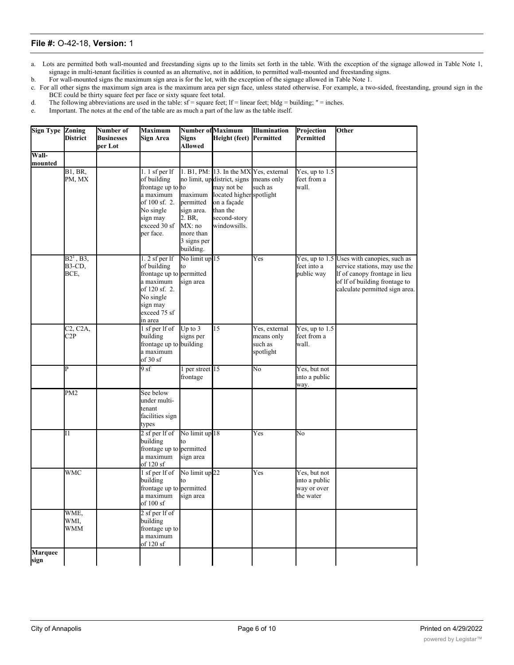a. Lots are permitted both wall-mounted and freestanding signs up to the limits set forth in the table. With the exception of the signage allowed in Table Note 1, signage in multi-tenant facilities is counted as an alternative, not in addition, to permitted wall-mounted and freestanding signs.

b. For wall-mounted signs the maximum sign area is for the lot, with the exception of the signage allowed in Table Note 1.

c. For all other signs the maximum sign area is the maximum area per sign face, unless stated otherwise. For example, a two-sided, freestanding, ground sign in the BCE could be thirty square feet per face or sixty square feet total.

d. The following abbreviations are used in the table:  $sf = square$  feet;  $lf = linear$  feet;  $bldg = building$ ;  $" = inches$ .

e. Important. The notes at the end of the table are as much a part of the law as the table itself.

| <b>Sign Type Zoning</b> | <b>District</b>                           | Number of<br><b>Businesses</b><br>per Lot | <b>Maximum</b><br>Sign Area                                                                                                                  | Signs<br>Allowed                                                                   | <b>Number of Maximum</b><br>Height (feet)                                                                                                                                  | <b>Illumination</b><br>Permitted                    | Projection<br>Permitted                                   | Other                                                                                                                                                                           |
|-------------------------|-------------------------------------------|-------------------------------------------|----------------------------------------------------------------------------------------------------------------------------------------------|------------------------------------------------------------------------------------|----------------------------------------------------------------------------------------------------------------------------------------------------------------------------|-----------------------------------------------------|-----------------------------------------------------------|---------------------------------------------------------------------------------------------------------------------------------------------------------------------------------|
| Wall-                   |                                           |                                           |                                                                                                                                              |                                                                                    |                                                                                                                                                                            |                                                     |                                                           |                                                                                                                                                                                 |
| mounted                 |                                           |                                           |                                                                                                                                              |                                                                                    |                                                                                                                                                                            |                                                     |                                                           |                                                                                                                                                                                 |
|                         | $\overline{B1, BR}$<br>PM, MX             |                                           | 1. 1 sf per $If$<br>of building<br>frontage up to to<br>a maximum<br>of 100 sf. 2.<br>No single<br>sign may<br>exceed 30 sf<br>per face.     | maximum<br>permitted<br>sign area.<br>2. BR,<br>MX: no<br>more than<br>3 signs per | 1. B1, PM: 13. In the MX Yes, external<br>no limit, updistrict, signs<br>may not be<br>located higher spotlight<br>on a façade<br>than the<br>second-story<br>windowsills. | means only<br>such as                               | Yes, up to $1.5$<br>feet from a<br>wall.                  |                                                                                                                                                                                 |
|                         |                                           |                                           |                                                                                                                                              | building.                                                                          |                                                                                                                                                                            |                                                     |                                                           |                                                                                                                                                                                 |
|                         | $B2^1$ , B3,<br>B3-CD,<br>BCE,            |                                           | $1.2$ sf per lf<br>of building<br>frontage up to permitted<br>a maximum<br>of 120 sf. 2.<br>No single<br>sign may<br>exceed 75 sf<br>in area | No limit up 15<br>to<br>sign area                                                  |                                                                                                                                                                            | $\overline{\mathrm{Yes}}$                           | feet into a<br>public way                                 | Yes, up to 1.5 Uses with canopies, such as<br>service stations, may use the<br>If of canopy frontage in lieu<br>of If of building frontage to<br>calculate permitted sign area. |
|                         | C <sub>2</sub> , C <sub>2</sub> A,<br>C2P |                                           | 1 sf per lf of<br>building<br>frontage up to building<br>a maximum<br>of 30 sf                                                               | Up to $3$<br>signs per                                                             | 15                                                                                                                                                                         | Yes, external<br>means only<br>such as<br>spotlight | Yes, up to $1.5$<br>feet from a<br>wall.                  |                                                                                                                                                                                 |
|                         | Þ                                         |                                           | 9 sf                                                                                                                                         | per street 15<br>frontage                                                          |                                                                                                                                                                            | No                                                  | Yes, but not<br>into a public<br>way.                     |                                                                                                                                                                                 |
|                         | PM <sub>2</sub>                           |                                           | See below<br>under multi-<br>tenant<br>facilities sign<br>types                                                                              |                                                                                    |                                                                                                                                                                            |                                                     |                                                           |                                                                                                                                                                                 |
|                         | $\overline{11}$                           |                                           | 2 sf per lf of<br>building<br>frontage up to permitted<br>a maximum<br>of 120 sf                                                             | No limit up 18<br>to<br>sign area                                                  |                                                                                                                                                                            | Yes                                                 | No                                                        |                                                                                                                                                                                 |
|                         | WMC                                       |                                           | 1 sf per lf of<br>building<br>frontage up to permitted<br>a maximum<br>of 100 sf                                                             | No limit up <sup>22</sup><br>to<br>sign area                                       |                                                                                                                                                                            | Yes                                                 | Yes, but not<br>into a public<br>way or over<br>the water |                                                                                                                                                                                 |
|                         | WME,<br>WMI,<br>WMM                       |                                           | 2 sf per lf of<br>building<br>frontage up to<br>a maximum<br>of 120 sf                                                                       |                                                                                    |                                                                                                                                                                            |                                                     |                                                           |                                                                                                                                                                                 |
| <b>Marquee</b><br>sign  |                                           |                                           |                                                                                                                                              |                                                                                    |                                                                                                                                                                            |                                                     |                                                           |                                                                                                                                                                                 |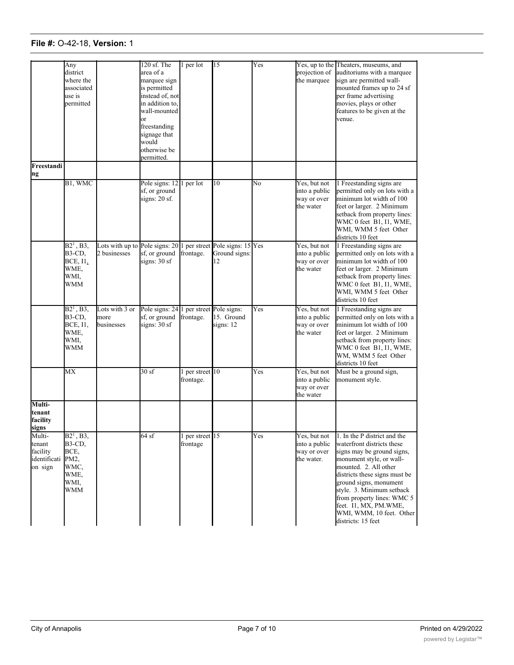# **File #:** O-42-18, **Version:** 1 **Marquee**

a maximum

|                                                         | Any<br>district<br>where the<br>associated<br>use is<br>permitted     |                                                | 120 sf. The<br>area of a<br>marquee sign<br>is permitted<br>instead of, not<br>in addition to,<br>wall-mounted<br>or<br>freestanding<br>signage that<br>would<br>otherwise be<br>permitted. | per lot                    | 15                                                     | Yes | Yes, up to the<br>projection of<br>the marquee             | Theaters, museums, and<br>auditoriums with a marquee<br>sign are permitted wall-<br>mounted frames up to 24 sf<br>per frame advertising<br>movies, plays or other<br>features to be given at the<br>venue.                                                                                                                                     |
|---------------------------------------------------------|-----------------------------------------------------------------------|------------------------------------------------|---------------------------------------------------------------------------------------------------------------------------------------------------------------------------------------------|----------------------------|--------------------------------------------------------|-----|------------------------------------------------------------|------------------------------------------------------------------------------------------------------------------------------------------------------------------------------------------------------------------------------------------------------------------------------------------------------------------------------------------------|
| Freestandi                                              |                                                                       |                                                |                                                                                                                                                                                             |                            |                                                        |     |                                                            |                                                                                                                                                                                                                                                                                                                                                |
| ng                                                      |                                                                       |                                                |                                                                                                                                                                                             |                            |                                                        |     |                                                            |                                                                                                                                                                                                                                                                                                                                                |
|                                                         | B1, WMC                                                               |                                                | Pole signs: 12<br>sf, or ground<br>signs: 20 sf.                                                                                                                                            | per lot                    | 10                                                     | No  | Yes, but not<br>into a public<br>way or over<br>the water  | 1 Freestanding signs are<br>permitted only on lots with a<br>minimum lot width of 100<br>feet or larger. 2 Minimum<br>setback from property lines:<br>WMC 0 feet B1, I1, WME,<br>WMI, WMM 5 feet Other<br>districts 10 feet                                                                                                                    |
|                                                         | $B21$ , B3,<br>B3-CD,<br>BCE, I1,<br>WME,<br>WMI.<br>WMM              | Lots with up to Pole signs: 20<br>2 businesses | sf, or ground<br>signs: 30 sf                                                                                                                                                               | frontage.                  | 1 per street Pole signs: 15 Yes<br>Ground signs:<br>12 |     | Yes, but not<br>into a public<br>way or over<br>the water  | 1 Freestanding signs are<br>permitted only on lots with a<br>minimum lot width of 100<br>feet or larger. 2 Minimum<br>setback from property lines:<br>WMC 0 feet B1, I1, WME,<br>WMI, WMM 5 feet Other<br>districts 10 feet                                                                                                                    |
|                                                         | $B2^1$ , B3,<br>B3-CD,<br>BCE, I1,<br>WME,<br>WMI,<br>WMM             | Lots with 3 or<br>more<br>businesses           | Pole signs: 24<br>sf, or ground<br>signs: $30sf$                                                                                                                                            | frontage.                  | 1 per street Pole signs:<br>15. Ground<br>signs: 12    | Yes | Yes, but not<br>into a public<br>way or over<br>the water  | 1 Freestanding signs are<br>permitted only on lots with a<br>minimum lot width of 100<br>feet or larger. 2 Minimum<br>setback from property lines:<br>WMC 0 feet B1, I1, WME,<br>WM, WMM 5 feet Other<br>districts 10 feet                                                                                                                     |
|                                                         | MX                                                                    |                                                | 30sf                                                                                                                                                                                        | per street 10<br>frontage. |                                                        | Yes | Yes, but not<br>into a public<br>way or over<br>the water  | Must be a ground sign,<br>monument style.                                                                                                                                                                                                                                                                                                      |
| Multi-<br>tenant<br>facility<br>signs                   |                                                                       |                                                |                                                                                                                                                                                             |                            |                                                        |     |                                                            |                                                                                                                                                                                                                                                                                                                                                |
| Multi-<br>tenant<br>facility<br>identificati<br>on sign | $B2^1$ , B3,<br>B3-CD,<br>BCE,<br>PM2,<br>WMC,<br>WME,<br>WMI,<br>WMM |                                                | 64sf                                                                                                                                                                                        | per street 15<br>frontage  |                                                        | Yes | Yes, but not<br>into a public<br>way or over<br>the water. | 1. In the P district and the<br>waterfront districts these<br>signs may be ground signs,<br>monument style, or wall-<br>mounted. 2. All other<br>districts these signs must be<br>ground signs, monument<br>style. 3. Minimum setback<br>from property lines: WMC 5<br>feet. I1, MX, PM.WME,<br>WMI, WMM, 10 feet. Other<br>districts: 15 feet |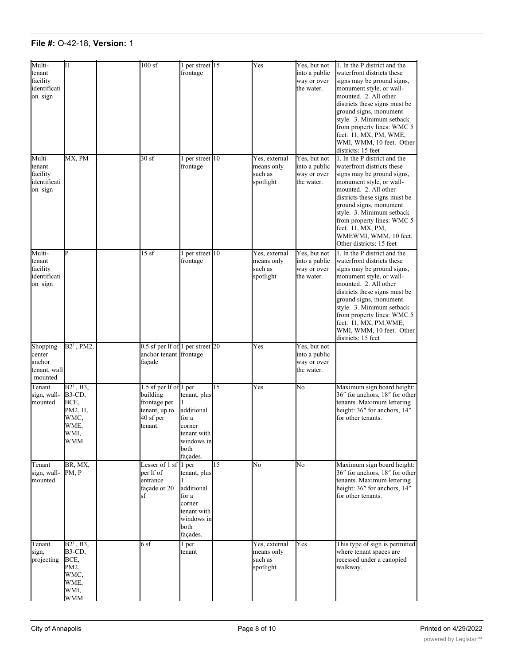| Multi-<br>tenant<br>facility<br>identificati<br>on sign  | I <sub>1</sub>                                                                      | 100sf                                                                                       | per street 15<br>frontage                                                                      |    | Yes                                                 | Yes, but not<br>into a public<br>way or over<br>the water. | 1. In the P district and the<br>waterfront districts these<br>signs may be ground signs,<br>monument style, or wall-<br>mounted. 2. All other<br>districts these signs must be<br>ground signs, monument<br>style. 3. Minimum setback<br>from property lines: WMC 5<br>feet. I1, MX, PM, WME,<br>WMI, WMM, 10 feet. Other<br>districts: 15 feet |
|----------------------------------------------------------|-------------------------------------------------------------------------------------|---------------------------------------------------------------------------------------------|------------------------------------------------------------------------------------------------|----|-----------------------------------------------------|------------------------------------------------------------|-------------------------------------------------------------------------------------------------------------------------------------------------------------------------------------------------------------------------------------------------------------------------------------------------------------------------------------------------|
| Multi-<br>tenant<br>facility<br>identificati<br>on sign  | MX, PM                                                                              | 30sf                                                                                        | per street 10<br>frontage                                                                      |    | Yes, external<br>means only<br>such as<br>spotlight | Yes, but not<br>into a public<br>way or over<br>the water. | 1. In the P district and the<br>waterfront districts these<br>signs may be ground signs,<br>monument style, or wall-<br>mounted. 2. All other<br>districts these signs must be<br>ground signs, monument<br>style. 3. Minimum setback<br>from property lines: WMC 5<br>feet. I1, MX, PM,<br>WMEWMI, WMM, 10 feet.<br>Other districts: 15 feet   |
| Multi-<br>tenant<br>facility<br>identificati<br>on sign  | Þ                                                                                   | 15sf                                                                                        | per street 10<br>frontage                                                                      |    | Yes, external<br>means only<br>such as<br>spotlight | Yes, but not<br>into a public<br>way or over<br>the water. | 1. In the P district and the<br>waterfront districts these<br>signs may be ground signs,<br>monument style, or wall-<br>mounted. 2. All other<br>districts these signs must be<br>ground signs, monument<br>style. 3. Minimum setback<br>from property lines: WMC 5<br>feet. I1, MX, PM.WME,<br>WMI, WMM, 10 feet. Other<br>districts: 15 feet  |
| Shopping<br>center<br>anchor<br>tenant, wall<br>-mounted | $B21$ , PM2,                                                                        | $0.5$ sf per lf of 1 per street 20<br>anchor tenant frontage<br>façade                      |                                                                                                |    | Yes                                                 | Yes, but not<br>into a public<br>way or over<br>the water. |                                                                                                                                                                                                                                                                                                                                                 |
| Tenant<br>sign, wall-<br>mounted                         | $B2^1$ , $B3$ ,<br>B3-CD,<br>BCE,<br>PM2, I1,<br>WMC,<br>WME.<br>WMI,<br><b>WMM</b> | 1.5 sf per lf of 1 per<br>building<br>frontage per<br>tenant, up to<br>40 sf per<br>tenant. | tenant, plus<br>additional<br>for a<br>corner<br>tenant with<br>windows in<br>both<br>façades. | 15 | Yes                                                 | No                                                         | Maximum sign board height:<br>36" for anchors, 18" for other<br>tenants. Maximum lettering<br>height: 36" for anchors, 14"<br>for other tenants.                                                                                                                                                                                                |
| Tenant<br>sign, wall-<br>mounted                         | BR, MX,<br>PM, P                                                                    | Lesser of 1 sf 1 per<br>per lf of<br>entrance<br>façade or 20<br>sf                         | tenant, plus<br>additional<br>for a<br>corner<br>tenant with<br>windows in<br>both<br>façades. | 15 | No                                                  | No                                                         | Maximum sign board height:<br>36" for anchors, 18" for other<br>tenants. Maximum lettering<br>height: 36" for anchors, 14"<br>for other tenants.                                                                                                                                                                                                |
| Tenant<br>sign,<br>projecting                            | $B2^1$ , B3,<br>B3-CD,<br>BCE,<br>PM2,<br>WMC,<br>WME,<br>WMI,<br><b>WMM</b>        | 6 sf                                                                                        | 1 per<br>tenant                                                                                |    | Yes, external<br>means only<br>such as<br>spotlight | Yes                                                        | This type of sign is permitted<br>where tenant spaces are<br>recessed under a canopied<br>walkway.                                                                                                                                                                                                                                              |

way.

or more businesses.

from property lines: WMC 500 percent in the second second second second second second second second second second second second second second second second second second second second second second second second second sec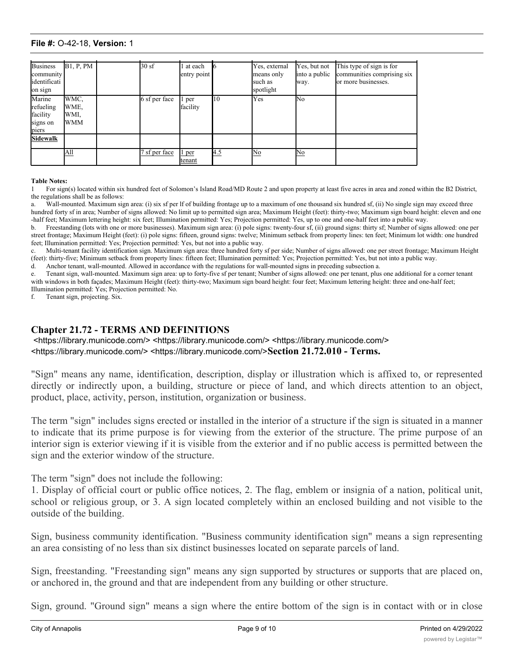#### **File #: O-42-18, Version: 1** WMC,  $\mathbb{R}^n$

| <b>Business</b><br>community<br>identificati<br>on sign | <b>B1, P, PM</b>                   | 30sf          | at each<br>entry point |     | Yes, external<br>means only<br>such as<br>spotlight | Yes, but not<br>into a public<br>way. | This type of sign is for<br>communities comprising six<br>or more businesses. |
|---------------------------------------------------------|------------------------------------|---------------|------------------------|-----|-----------------------------------------------------|---------------------------------------|-------------------------------------------------------------------------------|
| Marine<br>refueling<br>facility<br>signs on<br>piers    | WMC,<br>WME,<br>WMI,<br><b>WMM</b> | 6 sf per face | 1 per<br>facility      | 10  | Yes                                                 | No                                    |                                                                               |
| <b>Sidewalk</b>                                         |                                    |               |                        |     |                                                     |                                       |                                                                               |
|                                                         | All                                | sf per face   | 1 per<br>tenant        | 4.5 | No                                                  | No                                    |                                                                               |

#### **Table Notes:**

For sign(s) located within six hundred feet of Solomon's Island Road/MD Route 2 and upon property at least five acres in area and zoned within the B2 District, the regulations shall be as follows:

a. Wall-mounted. Maximum sign area: (i) six sf per lf of building frontage up to a maximum of one thousand six hundred sf, (ii) No single sign may exceed three hundred forty sf in area; Number of signs allowed: No limit up to permitted sign area; Maximum Height (feet): thirty-two; Maximum sign board height: eleven and one -half feet; Maximum lettering height: six feet; Illumination permitted: Yes; Projection permitted: Yes, up to one and one-half feet into a public way.

b. Freestanding (lots with one or more businesses). Maximum sign area: (i) pole signs: twenty-four sf, (ii) ground signs: thirty sf; Number of signs allowed: one per street frontage; Maximum Height (feet): (i) pole signs: fifteen, ground signs: twelve; Minimum setback from property lines: ten feet; Minimum lot width: one hundred feet; Illumination permitted: Yes; Projection permitted: Yes, but not into a public way.

c. Multi-tenant facility identification sign. Maximum sign area: three hundred forty sf per side; Number of signs allowed: one per street frontage; Maximum Height (feet): thirty-five; Minimum setback from property lines: fifteen feet; Illumination permitted: Yes; Projection permitted: Yes, but not into a public way.

d. Anchor tenant, wall-mounted. Allowed in accordance with the regulations for wall-mounted signs in preceding subsection a.

e. Tenant sign, wall-mounted. Maximum sign area: up to forty-five sf per tenant; Number of signs allowed: one per tenant, plus one additional for a corner tenant with windows in both façades; Maximum Height (feet): thirty-two; Maximum sign board height: four feet; Maximum lettering height: three and one-half feet; Illumination permitted: Yes; Projection permitted: No.

f. Tenant sign, projecting. Six.

### **Chapter 21.72 - TERMS AND DEFINITIONS**

 <https://library.municode.com/> <https://library.municode.com/> <https://library.municode.com/> <https://library.municode.com/> <https://library.municode.com/>**Section 21.72.010 - Terms.**

"Sign" means any name, identification, description, display or illustration which is affixed to, or represented directly or indirectly upon, a building, structure or piece of land, and which directs attention to an object, product, place, activity, person, institution, organization or business.

The term "sign" includes signs erected or installed in the interior of a structure if the sign is situated in a manner to indicate that its prime purpose is for viewing from the exterior of the structure. The prime purpose of an interior sign is exterior viewing if it is visible from the exterior and if no public access is permitted between the sign and the exterior window of the structure.

The term "sign" does not include the following:

1. Display of official court or public office notices, 2. The flag, emblem or insignia of a nation, political unit, school or religious group, or 3. A sign located completely within an enclosed building and not visible to the outside of the building.

Sign, business community identification. "Business community identification sign" means a sign representing an area consisting of no less than six distinct businesses located on separate parcels of land.

Sign, freestanding. "Freestanding sign" means any sign supported by structures or supports that are placed on, or anchored in, the ground and that are independent from any building or other structure.

Sign, ground. "Ground sign" means a sign where the entire bottom of the sign is in contact with or in close